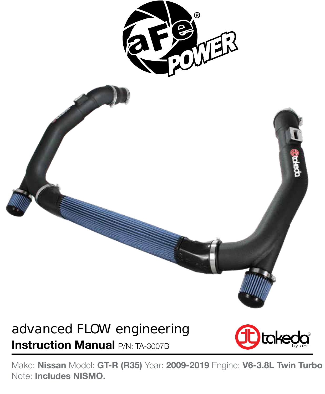

## advanced FLOW engineering **Instruction Manual P/N: TA-3007B**



Make: **Nissan** Model: **GT-R (R35)** Year: **2009-2019** Engine: **V6-3.8L Twin Turbo** Note: **Includes NISMO.**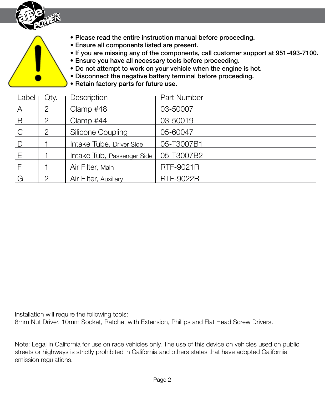

- Please read the entire instruction manual before proceeding.
- Ensure all components listed are present.
- If you are missing any of the components, call customer support at 951-493-7100.
- Ensure you have all necessary tools before proceeding.
- Do not attempt to work on your vehicle when the engine is hot.
- Disconnect the negative battery terminal before proceeding.
- Retain factory parts for future use.

| Label          | Qty.                  | Description                | Part Number      |
|----------------|-----------------------|----------------------------|------------------|
| $\mathsf{A}$   | 2                     | Clamp #48                  | 03-50007         |
| $\overline{B}$ | 2                     | Clamp #44                  | 03-50019         |
| $\mathsf{C}$   | $\mathbf{2}^{\prime}$ | <b>Silicone Coupling</b>   | 05-60047         |
| D              |                       | Intake Tube, Driver Side   | 05-T3007B1       |
| E              |                       | Intake Tub, Passenger Side | 05-T3007B2       |
| $\mathsf{F}$   |                       | Air Filter, Main           | <b>RTF-9021R</b> |
| G              | 2                     | Air Filter, Auxiliary      | <b>RTF-9022R</b> |

Installation will require the following tools:

8mm Nut Driver, 10mm Socket, Ratchet with Extension, Phillips and Flat Head Screw Drivers.

Note: Legal in California for use on race vehicles only. The use of this device on vehicles used on public streets or highways is strictly prohibited in California and others states that have adopted California emission regulations.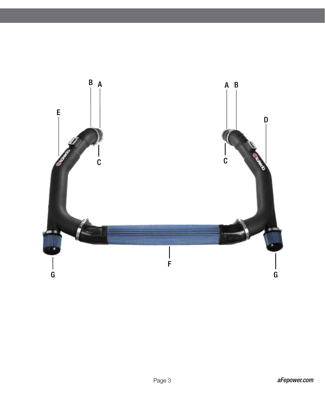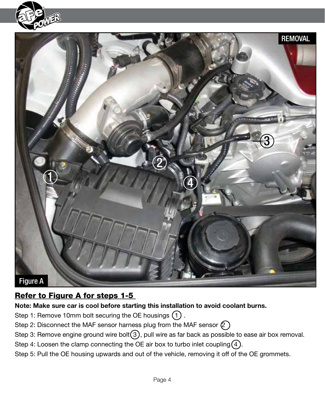



#### Refer to Figure A for steps 1-5

**Note: Make sure car is cool before starting this installation to avoid coolant burns.**

Step 1: Remove 10mm bolt securing the OE housings  $(1)$ .

- Step 2: Disconnect the MAF sensor harness plug from the MAF sensor  $(2)$ .
- Step 3: Remove engine ground wire bolt $(3)$ , pull wire as far back as possible to ease air box removal.
- Step 4: Loosen the clamp connecting the OE air box to turbo inlet coupling  $(4)$ .
- Step 5: Pull the OE housing upwards and out of the vehicle, removing it off of the OE grommets.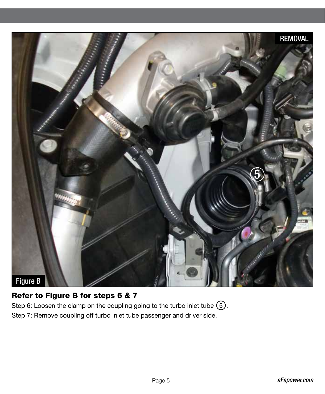

### Refer to Figure B for steps 6 & 7

Step 6: Loosen the clamp on the coupling going to the turbo inlet tube  $(5)$ . Step 7: Remove coupling off turbo inlet tube passenger and driver side.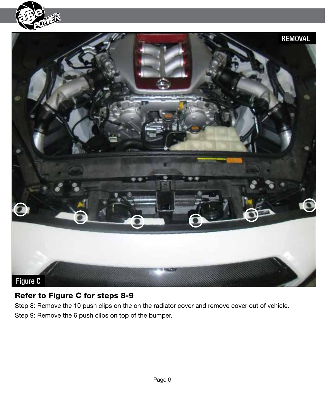



#### Refer to Figure C for steps 8-9

Step 8: Remove the 10 push clips on the on the radiator cover and remove cover out of vehicle. Step 9: Remove the 6 push clips on top of the bumper.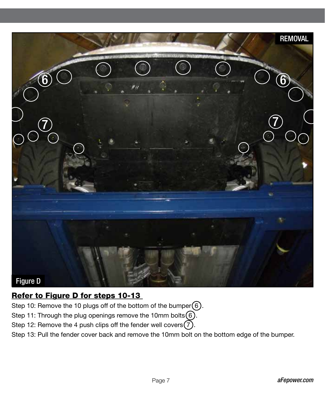

#### Refer to Figure D for steps 10-13

Step 10: Remove the 10 plugs off of the bottom of the bumper $(6)$ .

Step 11: Through the plug openings remove the 10mm bolts $(6)$ .

Step 12: Remove the 4 push clips off the fender well covers  $(7)$ .

Step 13: Pull the fender cover back and remove the 10mm bolt on the bottom edge of the bumper.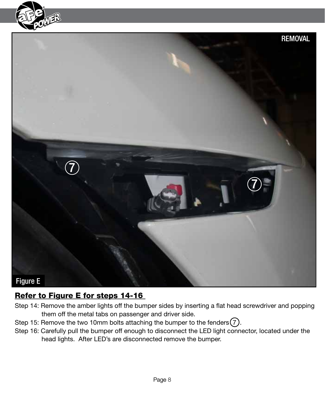



#### Refer to Figure E for steps 14-16

- Step 14: Remove the amber lights off the bumper sides by inserting a flat head screwdriver and popping them off the metal tabs on passenger and driver side.
- Step 15: Remove the two 10mm bolts attaching the bumper to the fenders  $(7)$ .
- Step 16: Carefully pull the bumper off enough to disconnect the LED light connector, located under the head lights. After LED's are disconnected remove the bumper.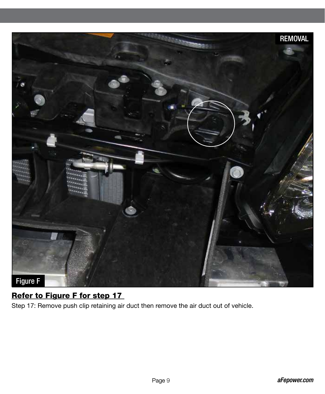

#### Refer to Figure F for step 17

Step 17: Remove push clip retaining air duct then remove the air duct out of vehicle.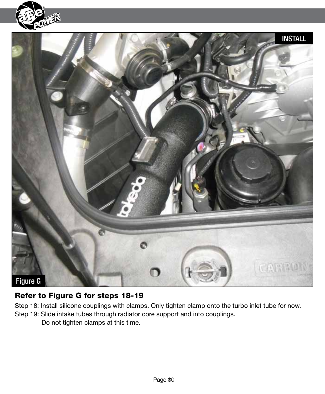![](_page_9_Picture_0.jpeg)

![](_page_9_Picture_1.jpeg)

#### Refer to Figure G for steps 18-19

Step 18: Install silicone couplings with clamps. Only tighten clamp onto the turbo inlet tube for now. Step 19: Slide intake tubes through radiator core support and into couplings.

Do not tighten clamps at this time.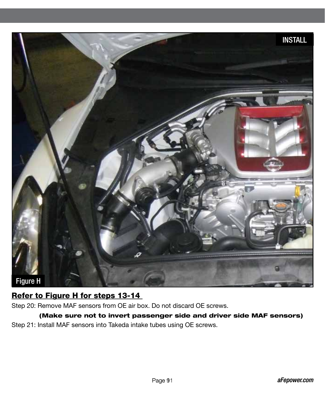![](_page_10_Picture_0.jpeg)

#### Refer to Figure H for steps 13-14

Step 20: Remove MAF sensors from OE air box. Do not discard OE screws.

(Make sure not to invert passenger side and driver side MAF sensors) Step 21: Install MAF sensors into Takeda intake tubes using OE screws.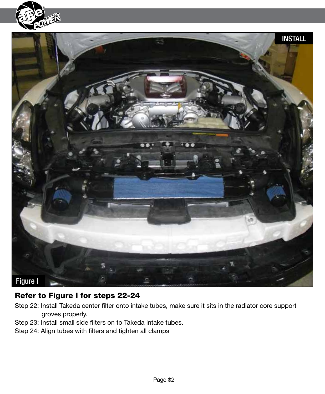![](_page_11_Picture_0.jpeg)

![](_page_11_Picture_1.jpeg)

### Refer to Figure I for steps 22-24

- Step 22: Install Takeda center filter onto intake tubes, make sure it sits in the radiator core support groves properly.
- Step 23: Install small side filters on to Takeda intake tubes.
- Step 24: Align tubes with filters and tighten all clamps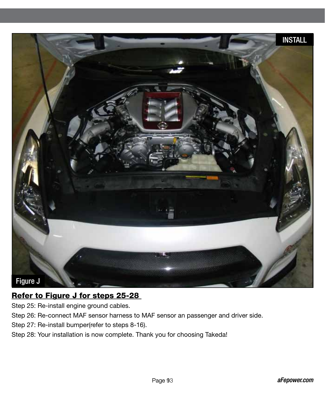![](_page_12_Picture_0.jpeg)

#### Refer to Figure J for steps 25-28

Step 25: Re-install engine ground cables.

Step 26: Re-connect MAF sensor harness to MAF sensor an passenger and driver side.

Step 27: Re-install bumper(refer to steps 8-16).

Step 28: Your installation is now complete. Thank you for choosing Takeda!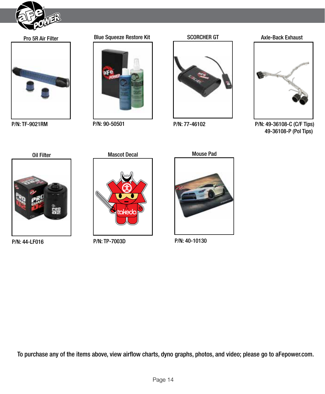![](_page_13_Picture_0.jpeg)

![](_page_13_Picture_2.jpeg)

P/N: TF-9021RM

![](_page_13_Picture_5.jpeg)

P/N: 90-50501

![](_page_13_Picture_7.jpeg)

P/N: 77-46102

![](_page_13_Picture_10.jpeg)

P/N: 49-36108-C (C/F Tips) 49-36108-P (Pol Tips)

![](_page_13_Picture_12.jpeg)

P/N: 44-LF016

![](_page_13_Picture_14.jpeg)

P/N: TP-7003D

![](_page_13_Picture_16.jpeg)

P/N: 40-10130

To purchase any of the items above, view airflow charts, dyno graphs, photos, and video; please go to aFepower.com.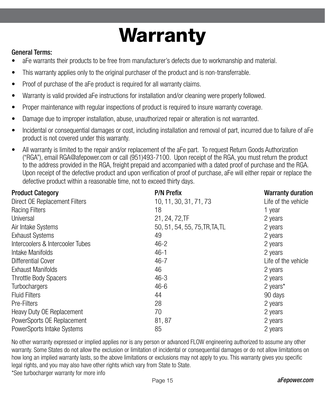# **Warranty**

#### General Terms:

- aFe warrants their products to be free from manufacturer's defects due to workmanship and material.
- This warranty applies only to the original purchaser of the product and is non-transferrable.
- Proof of purchase of the aFe product is required for all warranty claims.
- Warranty is valid provided aFe instructions for installation and/or cleaning were properly followed.
- Proper maintenance with regular inspections of product is required to insure warranty coverage.
- Damage due to improper installation, abuse, unauthorized repair or alteration is not warranted.
- Incidental or consequential damages or cost, including installation and removal of part, incurred due to failure of aFe product is not covered under this warranty.
- All warranty is limited to the repair and/or replacement of the aFe part. To request Return Goods Authorization ("RGA"), email RGA@afepower.com or call (951)493-7100. Upon receipt of the RGA, you must return the product to the address provided in the RGA, freight prepaid and accompanied with a dated proof of purchase and the RGA. Upon receipt of the defective product and upon verification of proof of purchase, aFe will either repair or replace the defective product within a reasonable time, not to exceed thirty days.

| <b>Product Category</b>              | <b>P/N Prefix</b>              | <b>Warranty duration</b> |
|--------------------------------------|--------------------------------|--------------------------|
| <b>Direct OE Replacement Filters</b> | 10, 11, 30, 31, 71, 73         | Life of the vehicle      |
| <b>Racing Filters</b>                | 18                             | 1 year                   |
| Universal                            | 21, 24, 72, TF                 | 2 years                  |
| Air Intake Systems                   | 50, 51, 54, 55, 75, TR, TA, TL | 2 years                  |
| <b>Exhaust Systems</b>               | 49                             | 2 years                  |
| Intercoolers & Intercooler Tubes     | $46 - 2$                       | 2 years                  |
| Intake Manifolds                     | $46 - 1$                       | 2 years                  |
| <b>Differential Cover</b>            | $46 - 7$                       | Life of the vehicle      |
| <b>Exhaust Manifolds</b>             | 46                             | 2 years                  |
| <b>Throttle Body Spacers</b>         | $46 - 3$                       | 2 years                  |
| Turbochargers                        | $46 - 6$                       | 2 years*                 |
| <b>Fluid Filters</b>                 | 44                             | 90 days                  |
| Pre-Filters                          | 28                             | 2 years                  |
| Heavy Duty OE Replacement            | 70                             | 2 years                  |
| PowerSports OE Replacement           | 81, 87                         | 2 years                  |
| PowerSports Intake Systems           | 85                             | 2 years                  |

No other warranty expressed or implied applies nor is any person or advanced FLOW engineering authorized to assume any other warranty. Some States do not allow the exclusion or limitation of incidental or consequential damages or do not allow limitations on how long an implied warranty lasts, so the above limitations or exclusions may not apply to you. This warranty gives you specific legal rights, and you may also have other rights which vary from State to State. \*See turbocharger warranty for more info